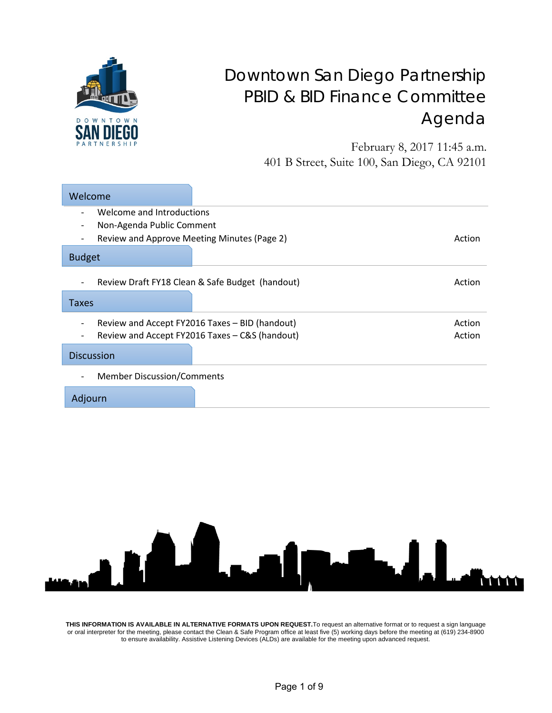

## Downtown San Diego Partnership PBID & BID Finance Committee Agenda

February 8, 2017 11:45 a.m. 401 B Street, Suite 100, San Diego, CA 92101

| Welcome                                                                            |                                                                                                  |                  |
|------------------------------------------------------------------------------------|--------------------------------------------------------------------------------------------------|------------------|
| Welcome and Introductions<br>$\overline{\phantom{a}}$<br>Non-Agenda Public Comment |                                                                                                  |                  |
| Review and Approve Meeting Minutes (Page 2)<br><b>Budget</b>                       |                                                                                                  | Action           |
| $\overline{\phantom{a}}$                                                           | Review Draft FY18 Clean & Safe Budget (handout)                                                  | Action           |
| Taxes                                                                              |                                                                                                  |                  |
|                                                                                    | Review and Accept FY2016 Taxes - BID (handout)<br>Review and Accept FY2016 Taxes - C&S (handout) | Action<br>Action |
| <b>Discussion</b>                                                                  |                                                                                                  |                  |
| <b>Member Discussion/Comments</b>                                                  |                                                                                                  |                  |
| Adjourn                                                                            |                                                                                                  |                  |



**THIS INFORMATION IS AVAILABLE IN ALTERNATIVE FORMATS UPON REQUEST.**To request an alternative format or to request a sign language or oral interpreter for the meeting, please contact the Clean & Safe Program office at least five (5) working days before the meeting at (619) 234-8900 to ensure availability. Assistive Listening Devices (ALDs) are available for the meeting upon advanced request.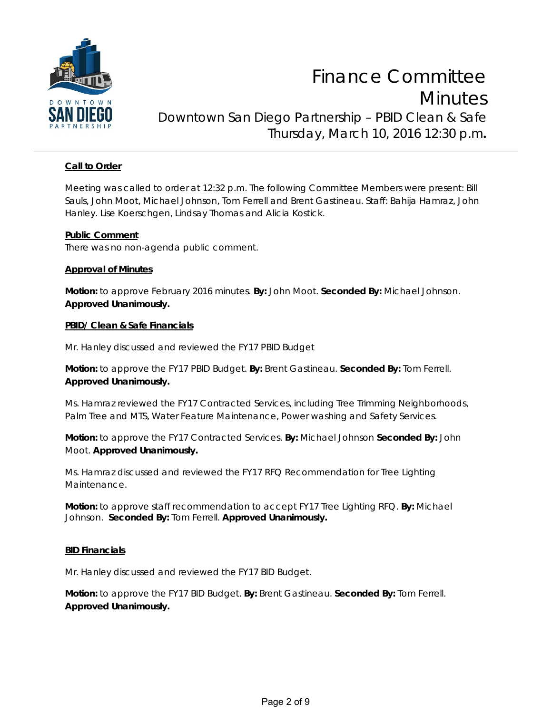

#### **Call to Order**

Meeting was called to order at 12:32 p.m. The following Committee Members were present: Bill Sauls, John Moot, Michael Johnson, Tom Ferrell and Brent Gastineau. Staff: Bahija Hamraz, John Hanley. Lise Koerschgen, Lindsay Thomas and Alicia Kostick.

#### **Public Comment**

There was no non-agenda public comment.

#### **Approval of Minutes**

**Motion:** to approve February 2016 minutes. **By:** John Moot. **Seconded By:** Michael Johnson. **Approved Unanimously.**

#### **PBID/ Clean & Safe Financials**

Mr. Hanley discussed and reviewed the FY17 PBID Budget

**Motion:** to approve the FY17 PBID Budget. **By:** Brent Gastineau. **Seconded By:** Tom Ferrell. **Approved Unanimously.**

Ms. Hamraz reviewed the FY17 Contracted Services, including Tree Trimming Neighborhoods, Palm Tree and MTS, Water Feature Maintenance, Power washing and Safety Services.

**Motion:** to approve the FY17 Contracted Services. **By:** Michael Johnson **Seconded By:** John Moot. **Approved Unanimously.**

Ms. Hamraz discussed and reviewed the FY17 RFQ Recommendation for Tree Lighting Maintenance.

**Motion:** to approve staff recommendation to accept FY17 Tree Lighting RFQ. **By:** Michael Johnson. **Seconded By:** Tom Ferrell. **Approved Unanimously.**

#### **BID Financials**

Mr. Hanley discussed and reviewed the FY17 BID Budget.

**Motion:** to approve the FY17 BID Budget. **By:** Brent Gastineau. **Seconded By:** Tom Ferrell. **Approved Unanimously.**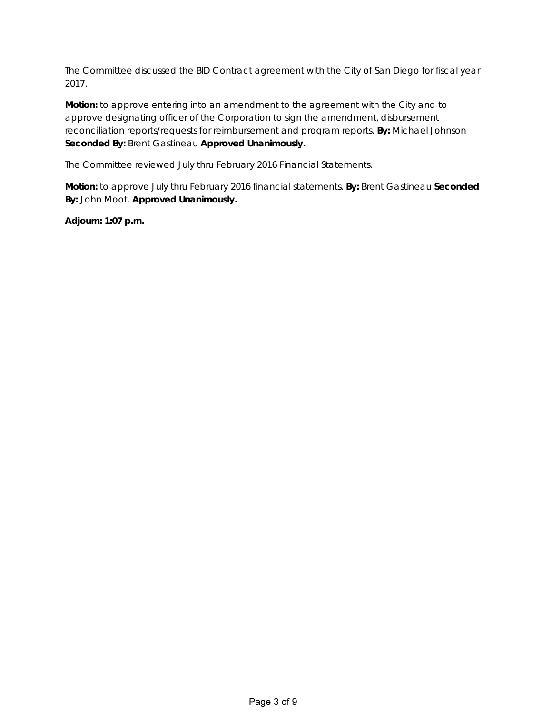The Committee discussed the BID Contract agreement with the City of San Diego for fiscal year 2017.

**Motion:** to approve entering into an amendment to the agreement with the City and to approve designating officer of the Corporation to sign the amendment, disbursement reconciliation reports/requests for reimbursement and program reports. **By:** Michael Johnson **Seconded By:** Brent Gastineau **Approved Unanimously.**

The Committee reviewed July thru February 2016 Financial Statements.

**Motion:** to approve July thru February 2016 financial statements. **By:** Brent Gastineau **Seconded By:** John Moot. **Approved Unanimously.**

**Adjourn: 1:07 p.m.**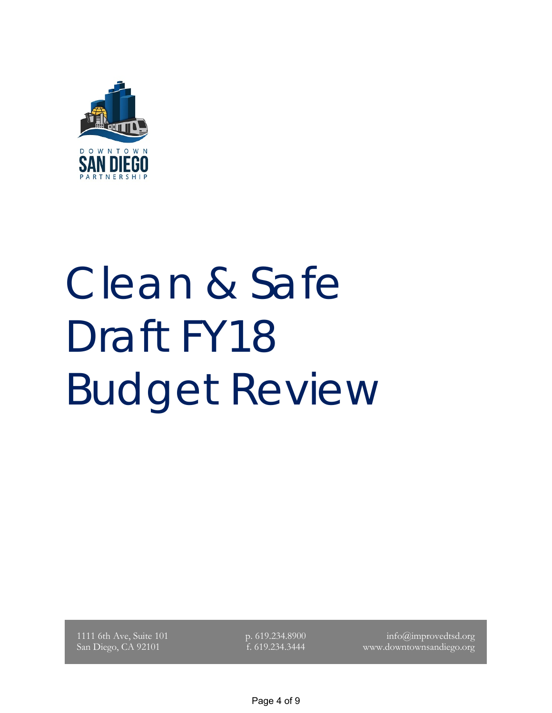

# Clean & Safe Draft FY18 Budget Review

1111 6th Ave, Suite 101 San Diego, CA 92101

p. 619.234.8900 f. 619.234.3444

info@improvedtsd.org www.downtownsandiego.org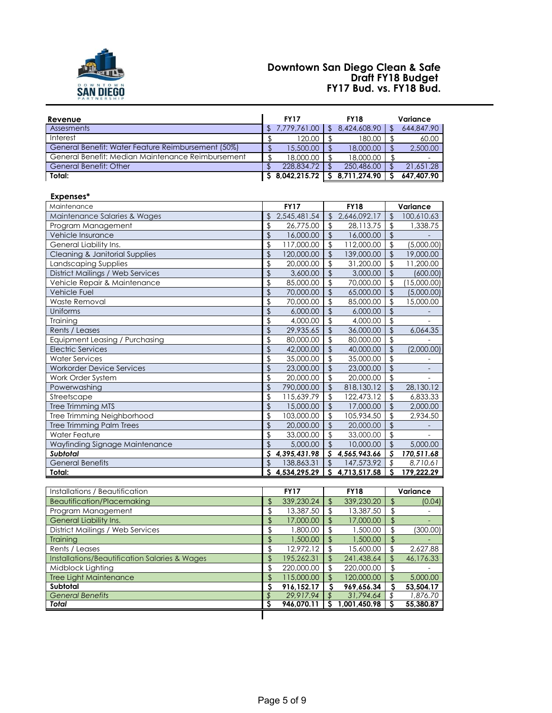

#### **Draft FY18 Budget FY17 Bud. vs. FY18 Bud. Downtown San Diego Clean & Safe**

| Revenue                                            |                          | <b>FY17</b>  |                | <b>FY18</b>    |                          | Variance    |
|----------------------------------------------------|--------------------------|--------------|----------------|----------------|--------------------------|-------------|
| Assesments                                         | \$                       | 7,779,761.00 | $\mathfrak{L}$ | 8,424,608.90   | $\mathfrak{L}$           | 644,847.90  |
| Interest                                           | \$                       | 120.00       | $\mathcal{S}$  | 180.00         | $\mathfrak{S}$           | 60.00       |
| General Benefit: Water Feature Reimbursement (50%) | $\mathfrak{L}$           | 15,500.00    | $\mathcal{L}$  | 18,000.00      | $\mathcal{L}$            | 2,500.00    |
| General Benefit: Median Maintenance Reimbursement  | \$                       | 18,000.00    | \$             | 18,000.00      | \$                       |             |
| <b>General Benefit: Other</b>                      | $\frac{1}{2}$            | 228,834.72   | $\sqrt{2}$     | 250,486.00     | $\sqrt{2}$               | 21,651.28   |
| Total:                                             | ऽ                        | 8,042,215.72 | S              | 8,711,274.90   | S                        | 647,407.90  |
| Expenses*                                          |                          |              |                |                |                          |             |
| Maintenance                                        |                          | <b>FY17</b>  |                | <b>FY18</b>    |                          | Variance    |
| Maintenance Salaries & Wages                       | $\mathfrak{D}$           | 2,545,481.54 | $\mathfrak{L}$ | 2,646,092.17   | $\sqrt{2}$               | 100,610.63  |
| Program Management                                 | \$                       | 26,775.00    | \$             | 28,113.75      | \$                       | 1,338.75    |
| Vehicle Insurance                                  | $\mathfrak{D}$           | 16,000.00    | $\mathcal{L}$  | 16,000.00      | $\sqrt{2}$               |             |
| General Liability Ins.                             | \$                       | 117,000.00   | \$             | 112,000.00     | $\frac{1}{2}$            | (5,000.00)  |
| Cleaning & Janitorial Supplies                     | $\overline{\mathcal{L}}$ | 120,000.00   | $\mathfrak{D}$ | 139,000.00     | $\overline{\mathcal{L}}$ | 19,000.00   |
| Landscaping Supplies                               | \$                       | 20,000.00    | \$             | 31,200.00      | \$                       | 11,200.00   |
| <b>District Mailings / Web Services</b>            | \$                       | 3,600.00     | $\mathfrak{D}$ | 3,000,00       | $\mathfrak{D}$           | (600.00)    |
| Vehicle Repair & Maintenance                       | \$                       | 85,000.00    | $\mathfrak{D}$ | 70,000.00      | $\frac{1}{2}$            | (15,000.00) |
| <b>Vehicle Fuel</b>                                | \$                       | 70,000.00    | $\mathfrak{D}$ | 65,000.00      | $\sqrt{2}$               | (5,000.00)  |
| <b>Waste Removal</b>                               | \$                       | 70,000.00    | \$             | 85,000.00      | $\frac{1}{2}$            | 15,000.00   |
| Uniforms                                           | $\mathfrak{D}$           | 6,000.00     | $\mathcal{L}$  | 6,000.00       | $\sqrt{2}$               |             |
| Training                                           | \$                       | 4,000.00     | $\mathcal{S}$  | 4.000.00       | $\sqrt{2}$               |             |
| Rents / Leases                                     | $\mathbf{r}$             | 29,935.65    | $\mathcal{L}$  | 36,000.00      | $\mathfrak{S}$           | 6,064.35    |
| Equipment Leasing / Purchasing                     | \$                       | 80,000.00    | \$             | 80,000.00      | \$                       |             |
| <b>Electric Services</b>                           | \$                       | 42,000.00    | $\mathfrak{D}$ | 40,000.00      | $\mathfrak{D}$           | (2,000.00)  |
| <b>Water Services</b>                              | \$                       | 35,000.00    | \$             | 35,000.00      | \$                       |             |
| <b>Workorder Device Services</b>                   | \$                       | 23,000.00    | $\mathfrak{L}$ | 23,000.00      | $\mathfrak{D}$           |             |
| Work Order System                                  | \$                       | 20,000.00    | \$             | 20,000.00      | $\mathfrak{L}$           |             |
| Powerwashing                                       | \$                       | 790,000.00   | $\mathbf{f}$   | 818,130.12     | $\mathfrak{D}$           | 28,130.12   |
| Streetscape                                        | \$                       | 115,639.79   | \$             | 122,473.12     | \$                       | 6,833.33    |
| Tree Trimming MTS                                  | \$                       | 15,000.00    | $\mathfrak{L}$ | 17,000.00      | $\mathfrak{L}$           | 2,000.00    |
| Tree Trimming Neighborhood                         | \$                       | 103,000.00   | $\sqrt[6]{2}$  | 105,934.50     | $\frac{1}{2}$            | 2,934.50    |
| <b>Tree Trimming Palm Trees</b>                    | $\overline{\mathcal{L}}$ | 20,000.00    | $\mathfrak{D}$ | 20,000.00      | $\overline{\mathcal{L}}$ |             |
| <b>Water Feature</b>                               | \$                       | 33,000.00    | $\mathcal{S}$  | 33,000.00      | $\frac{1}{2}$            |             |
| Wayfinding Signage Maintenance                     | $\mathcal{S}$            | 5,000.00     | $\mathcal{L}$  | 10,000.00      | $\sqrt{2}$               | 5,000.00    |
| <b>Subtotal</b>                                    | S                        | 4.395.431.98 | S.             | 4,565,943.66   | S                        | 170,511.68  |
| <b>General Benefits</b>                            | $\mathfrak{D}$           | 138,863.31   | $\mathfrak{L}$ | 147,573.92     | \$                       | 8,710.61    |
| Total:                                             | S                        | 4,534,295.29 |                | \$4,713,517.58 | S                        | 179,222.29  |

| Installations / Beautification                           |     | <b>FY17</b> |     | <b>FY18</b>  |     | Variance  |
|----------------------------------------------------------|-----|-------------|-----|--------------|-----|-----------|
| Beautification/Placemaking                               | \$. | 339,230.24  | \$. | 339,230.20   |     | (0.04)    |
| Program Management                                       | Ъ   | 13,387.50   | \$. | 13,387.50    |     |           |
| General Liability Ins.                                   | \$. | 17,000.00   | ዳ   | 17,000.00    |     |           |
| District Mailings / Web Services                         | \$  | 1,800,00    | \$. | 1,500.00     |     | (300.00)  |
| Training                                                 | \$  | 1,500.00    | \$. | 1,500.00     | \$. |           |
| Rents / Leases                                           | J)  | 12.972.12   |     | 15,600.00    |     | 2,627.88  |
| <b>Installations/Beautification Salaries &amp; Wages</b> | \$  | 195,262.31  | \$. | 241,438.64   | S.  | 46,176.33 |
| Midblock Lighting                                        | \$. | 220,000.00  | \$. | 220,000,00   |     |           |
| <b>Tree Light Maintenance</b>                            |     | 115,000.00  | ፍ   | 120,000.00   |     | 5.000.00  |
| Subtotal                                                 | s   | 916.152.17  | S   | 969.656.34   |     | 53.504.17 |
| <b>General Benefits</b>                                  |     | 29.917.94   |     | 31,794.64    |     | 1,876.70  |
| Total                                                    |     | 946,070.11  |     | 1,001,450.98 |     | 55,380.87 |
|                                                          |     |             |     |              |     |           |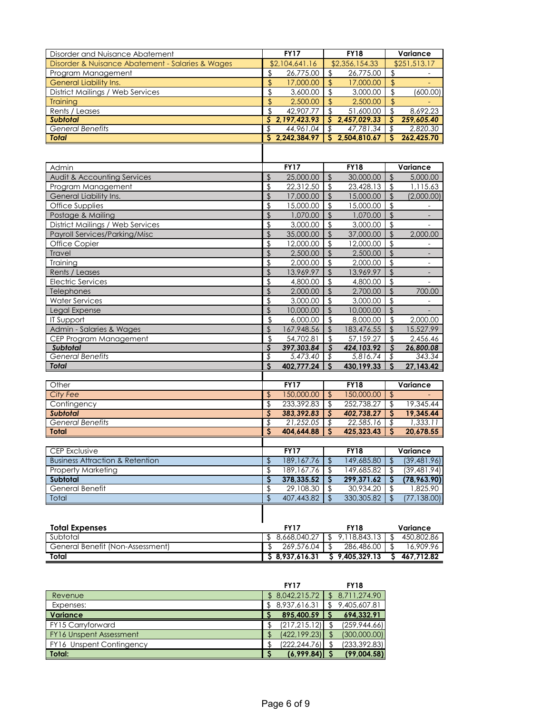| \$2,356,154.33<br>\$251,513.17<br>Disorder & Nuisance Abatement - Salaries & Wages<br>\$2,104,641.16<br>$\frac{1}{2}$<br>26,775.00<br>$\frac{1}{2}$<br>26,775.00<br>Program Management<br>\$<br>$\mathcal{L}$<br><b>General Liability Ins.</b><br>\$<br>17,000.00<br>$\frac{1}{2}$<br>17,000.00<br>$\frac{1}{2}$<br>District Mailings / Web Services<br>\$<br>\$<br>3,600.00<br>\$<br>(600.00)<br>3,000.00<br>\$<br>$\frac{1}{2}$<br>2,500.00<br>2,500.00<br>\$<br><b>Training</b><br>\$<br>\$<br>42,907.77<br>51,600.00<br>\$<br>8,692.23<br>Rents / Leases<br><b>Subtotal</b><br>\$<br>2, 197, 423.93<br>\$<br>2,457,029.33<br>Ş<br>259,605.40<br>\$<br><b>General Benefits</b><br>\$<br>44,961.04<br>\$<br>47,781.34<br>2,820.30<br>S.<br>2,242,384.97<br>S<br>2,504,810.67<br>S<br>262,425.70<br><b>Total</b><br><b>FY17</b><br><b>FY18</b><br>Admin<br>Variance<br>Audit & Accounting Services<br>$\mathfrak{D}$<br>25,000.00<br>$\mathfrak{S}$<br>$\mathfrak{L}$<br>30,000.00<br>5,000.00<br>\$<br>22,312.50<br>\$<br>23,428.13<br>$\mathfrak{L}$<br>1,115.63<br>Program Management<br>\$<br>$\sqrt{2}$<br>General Liability Ins.<br>17,000.00<br>$\mathfrak{D}$<br>15,000.00<br>Office Supplies<br>\$<br>15,000.00<br>15,000.00<br>\$<br>\$<br>$\mathcal{L}$<br>$\overline{\mathbf{S}}$<br>$\sqrt[6]{2}$<br>Postage & Mailing<br>1,070.00<br>$\mathfrak{D}$<br>1,070.00<br>$\overline{\phantom{a}}$<br>\$<br>District Mailings / Web Services<br>3,000.00<br>\$<br>3,000.00<br>$\sqrt{2}$<br>$\overline{a}$<br>$\sqrt{2}$<br>$\sqrt{2}$<br><b>Payroll Services/Parking/Misc</b><br>35,000.00<br>$\mathfrak{D}$<br>37,000.00<br>2,000.00<br>\$<br>Office Copier<br>12,000.00<br>\$<br>12,000.00<br>\$<br>\$<br>2,500.00<br>$\mathfrak{D}$<br>2,500.00<br>$\mathfrak{L}$<br>Travel<br>$\overline{\phantom{a}}$<br>\$<br>$\sqrt[6]{2}$<br>\$<br>Training<br>2,000.00<br>2,000.00<br>$\frac{1}{2}$<br>13,969.97<br>$\sqrt{2}$<br>$\sqrt{2}$<br>Rents / Leases<br>13,969.97<br>$\overline{\phantom{a}}$<br><b>Electric Services</b><br>\$<br>\$<br>\$<br>4,800.00<br>4,800.00<br>$\overline{\phantom{a}}$<br>\$<br>$\mathfrak{D}$<br>Telephones<br>2,000.00<br>\$<br>2,700.00<br>700.00<br>\$<br>\$<br>\$<br>3,000.00<br>3,000.00<br><b>Water Services</b><br>\$<br>Legal Expense<br>10,000.00<br>$\sqrt{2}$<br>10,000.00<br>$\sqrt{2}$<br><b>IT Support</b><br>\$<br>6,000.00<br>\$<br>8,000.00<br>\$<br>2,000.00<br>Admin - Salaries & Wages<br>\$<br>167,948.56<br>183,476.55<br>\$<br>\$<br>15,527.99<br>\$<br>\$<br>54,702.81<br>57,159.27<br>\$<br>2,456.46<br>CEP Program Management<br>S<br>397,303.84<br>$\overline{\mathcal{S}}$<br>S<br>Subtotal<br>424, 103.92<br>26,800.08<br><b>General Benefits</b><br>\$<br>5,473.40<br>5,816.74<br>343.34<br>\$<br>\$<br>$\mathsf{S}$<br>402,777.24<br>S<br><b>Total</b><br>430,199.33<br>S<br>27,143.42<br>FY17<br>Other<br><b>FY18</b><br>Variance<br>City Fee<br>\$<br>150,000.00<br>150,000.00<br>\$<br>$\frac{1}{2}$<br>\$<br>233,392.83<br>\$<br>252,738.27<br>19,345.44<br>Contingency<br>\$<br>\$<br>383,392.83<br>$\overline{\mathcal{S}}$<br>$\mathsf{S}$<br><b>Subtotal</b><br>402,738.27<br>19.345.44<br>$\overline{\$}$<br>21,252.05<br>22,585.16<br>1,333.11<br><b>General Benefits</b><br>\$<br>\$<br>S<br>404,644.88<br>425,323.43<br>S<br>20,678.55<br><b>Total</b><br>S<br>CEP Exclusive<br><b>FY17</b><br><b>FY18</b><br>Variance<br><b>Business Attraction &amp; Retention</b><br>\$<br>189, 167. 76<br>149,685.80<br>$\sqrt{2}$<br>$\sqrt{2}$<br>189, 167. 76<br>149,685.82<br><b>Property Marketing</b><br>\$<br>\$<br>\$<br>\$<br>378,335.52<br>299,371.62<br>Subtotal<br>\$<br>S<br>General Benefit<br>\$<br>29,108.30<br>30,934.20<br>$\frac{1}{2}$<br>1,825.90<br>\$<br>\$<br>407,443.82<br>330,305.82<br>$\sqrt{2}$<br>Total<br>\$<br><b>Total Expenses</b><br><b>FY17</b><br><b>FY18</b><br>Variance<br>9,118,843.13<br>Subtotal<br>\$<br>8,668,040.27<br>$\mathfrak{D}$<br>450,802.86<br>\$<br>General Benefit (Non-Assessment)<br>$\sqrt{2}$<br>269,576.04<br>$\frac{1}{2}$<br>286,486.00<br>16,909.96<br>\$<br>\$8,937,616.31<br>\$9,405,329.13<br>\$467,712.82<br>Total | Disorder and Nuisance Abatement | <b>FY17</b> | <b>FY18</b> | Variance |
|------------------------------------------------------------------------------------------------------------------------------------------------------------------------------------------------------------------------------------------------------------------------------------------------------------------------------------------------------------------------------------------------------------------------------------------------------------------------------------------------------------------------------------------------------------------------------------------------------------------------------------------------------------------------------------------------------------------------------------------------------------------------------------------------------------------------------------------------------------------------------------------------------------------------------------------------------------------------------------------------------------------------------------------------------------------------------------------------------------------------------------------------------------------------------------------------------------------------------------------------------------------------------------------------------------------------------------------------------------------------------------------------------------------------------------------------------------------------------------------------------------------------------------------------------------------------------------------------------------------------------------------------------------------------------------------------------------------------------------------------------------------------------------------------------------------------------------------------------------------------------------------------------------------------------------------------------------------------------------------------------------------------------------------------------------------------------------------------------------------------------------------------------------------------------------------------------------------------------------------------------------------------------------------------------------------------------------------------------------------------------------------------------------------------------------------------------------------------------------------------------------------------------------------------------------------------------------------------------------------------------------------------------------------------------------------------------------------------------------------------------------------------------------------------------------------------------------------------------------------------------------------------------------------------------------------------------------------------------------------------------------------------------------------------------------------------------------------------------------------------------------------------------------------------------------------------------------------------------------------------------------------------------------------------------------------------------------------------------------------------------------------------------------------------------------------------------------------------------------------------------------------------------------------------------------------------------------------------------------------------------------------------------------------------------------------------------------------------------------------------------------------------------------------------------------------------------------------------------------------------------------------------------------------------------------------------------------------------------------------------------------------------------------------------------------------------------------------------------------------------------------------------------------|---------------------------------|-------------|-------------|----------|
|                                                                                                                                                                                                                                                                                                                                                                                                                                                                                                                                                                                                                                                                                                                                                                                                                                                                                                                                                                                                                                                                                                                                                                                                                                                                                                                                                                                                                                                                                                                                                                                                                                                                                                                                                                                                                                                                                                                                                                                                                                                                                                                                                                                                                                                                                                                                                                                                                                                                                                                                                                                                                                                                                                                                                                                                                                                                                                                                                                                                                                                                                                                                                                                                                                                                                                                                                                                                                                                                                                                                                                                                                                                                                                                                                                                                                                                                                                                                                                                                                                                                                                                                                            |                                 |             |             |          |
|                                                                                                                                                                                                                                                                                                                                                                                                                                                                                                                                                                                                                                                                                                                                                                                                                                                                                                                                                                                                                                                                                                                                                                                                                                                                                                                                                                                                                                                                                                                                                                                                                                                                                                                                                                                                                                                                                                                                                                                                                                                                                                                                                                                                                                                                                                                                                                                                                                                                                                                                                                                                                                                                                                                                                                                                                                                                                                                                                                                                                                                                                                                                                                                                                                                                                                                                                                                                                                                                                                                                                                                                                                                                                                                                                                                                                                                                                                                                                                                                                                                                                                                                                            |                                 |             |             |          |
|                                                                                                                                                                                                                                                                                                                                                                                                                                                                                                                                                                                                                                                                                                                                                                                                                                                                                                                                                                                                                                                                                                                                                                                                                                                                                                                                                                                                                                                                                                                                                                                                                                                                                                                                                                                                                                                                                                                                                                                                                                                                                                                                                                                                                                                                                                                                                                                                                                                                                                                                                                                                                                                                                                                                                                                                                                                                                                                                                                                                                                                                                                                                                                                                                                                                                                                                                                                                                                                                                                                                                                                                                                                                                                                                                                                                                                                                                                                                                                                                                                                                                                                                                            |                                 |             |             |          |
|                                                                                                                                                                                                                                                                                                                                                                                                                                                                                                                                                                                                                                                                                                                                                                                                                                                                                                                                                                                                                                                                                                                                                                                                                                                                                                                                                                                                                                                                                                                                                                                                                                                                                                                                                                                                                                                                                                                                                                                                                                                                                                                                                                                                                                                                                                                                                                                                                                                                                                                                                                                                                                                                                                                                                                                                                                                                                                                                                                                                                                                                                                                                                                                                                                                                                                                                                                                                                                                                                                                                                                                                                                                                                                                                                                                                                                                                                                                                                                                                                                                                                                                                                            |                                 |             |             |          |
|                                                                                                                                                                                                                                                                                                                                                                                                                                                                                                                                                                                                                                                                                                                                                                                                                                                                                                                                                                                                                                                                                                                                                                                                                                                                                                                                                                                                                                                                                                                                                                                                                                                                                                                                                                                                                                                                                                                                                                                                                                                                                                                                                                                                                                                                                                                                                                                                                                                                                                                                                                                                                                                                                                                                                                                                                                                                                                                                                                                                                                                                                                                                                                                                                                                                                                                                                                                                                                                                                                                                                                                                                                                                                                                                                                                                                                                                                                                                                                                                                                                                                                                                                            |                                 |             |             |          |
|                                                                                                                                                                                                                                                                                                                                                                                                                                                                                                                                                                                                                                                                                                                                                                                                                                                                                                                                                                                                                                                                                                                                                                                                                                                                                                                                                                                                                                                                                                                                                                                                                                                                                                                                                                                                                                                                                                                                                                                                                                                                                                                                                                                                                                                                                                                                                                                                                                                                                                                                                                                                                                                                                                                                                                                                                                                                                                                                                                                                                                                                                                                                                                                                                                                                                                                                                                                                                                                                                                                                                                                                                                                                                                                                                                                                                                                                                                                                                                                                                                                                                                                                                            |                                 |             |             |          |
| (2,000.00)<br>(39, 481.96)<br>(39, 481.94)<br>(78, 963.90)<br>(77, 138.00)                                                                                                                                                                                                                                                                                                                                                                                                                                                                                                                                                                                                                                                                                                                                                                                                                                                                                                                                                                                                                                                                                                                                                                                                                                                                                                                                                                                                                                                                                                                                                                                                                                                                                                                                                                                                                                                                                                                                                                                                                                                                                                                                                                                                                                                                                                                                                                                                                                                                                                                                                                                                                                                                                                                                                                                                                                                                                                                                                                                                                                                                                                                                                                                                                                                                                                                                                                                                                                                                                                                                                                                                                                                                                                                                                                                                                                                                                                                                                                                                                                                                                 |                                 |             |             |          |
|                                                                                                                                                                                                                                                                                                                                                                                                                                                                                                                                                                                                                                                                                                                                                                                                                                                                                                                                                                                                                                                                                                                                                                                                                                                                                                                                                                                                                                                                                                                                                                                                                                                                                                                                                                                                                                                                                                                                                                                                                                                                                                                                                                                                                                                                                                                                                                                                                                                                                                                                                                                                                                                                                                                                                                                                                                                                                                                                                                                                                                                                                                                                                                                                                                                                                                                                                                                                                                                                                                                                                                                                                                                                                                                                                                                                                                                                                                                                                                                                                                                                                                                                                            |                                 |             |             |          |
|                                                                                                                                                                                                                                                                                                                                                                                                                                                                                                                                                                                                                                                                                                                                                                                                                                                                                                                                                                                                                                                                                                                                                                                                                                                                                                                                                                                                                                                                                                                                                                                                                                                                                                                                                                                                                                                                                                                                                                                                                                                                                                                                                                                                                                                                                                                                                                                                                                                                                                                                                                                                                                                                                                                                                                                                                                                                                                                                                                                                                                                                                                                                                                                                                                                                                                                                                                                                                                                                                                                                                                                                                                                                                                                                                                                                                                                                                                                                                                                                                                                                                                                                                            |                                 |             |             |          |
|                                                                                                                                                                                                                                                                                                                                                                                                                                                                                                                                                                                                                                                                                                                                                                                                                                                                                                                                                                                                                                                                                                                                                                                                                                                                                                                                                                                                                                                                                                                                                                                                                                                                                                                                                                                                                                                                                                                                                                                                                                                                                                                                                                                                                                                                                                                                                                                                                                                                                                                                                                                                                                                                                                                                                                                                                                                                                                                                                                                                                                                                                                                                                                                                                                                                                                                                                                                                                                                                                                                                                                                                                                                                                                                                                                                                                                                                                                                                                                                                                                                                                                                                                            |                                 |             |             |          |
|                                                                                                                                                                                                                                                                                                                                                                                                                                                                                                                                                                                                                                                                                                                                                                                                                                                                                                                                                                                                                                                                                                                                                                                                                                                                                                                                                                                                                                                                                                                                                                                                                                                                                                                                                                                                                                                                                                                                                                                                                                                                                                                                                                                                                                                                                                                                                                                                                                                                                                                                                                                                                                                                                                                                                                                                                                                                                                                                                                                                                                                                                                                                                                                                                                                                                                                                                                                                                                                                                                                                                                                                                                                                                                                                                                                                                                                                                                                                                                                                                                                                                                                                                            |                                 |             |             |          |
|                                                                                                                                                                                                                                                                                                                                                                                                                                                                                                                                                                                                                                                                                                                                                                                                                                                                                                                                                                                                                                                                                                                                                                                                                                                                                                                                                                                                                                                                                                                                                                                                                                                                                                                                                                                                                                                                                                                                                                                                                                                                                                                                                                                                                                                                                                                                                                                                                                                                                                                                                                                                                                                                                                                                                                                                                                                                                                                                                                                                                                                                                                                                                                                                                                                                                                                                                                                                                                                                                                                                                                                                                                                                                                                                                                                                                                                                                                                                                                                                                                                                                                                                                            |                                 |             |             |          |
|                                                                                                                                                                                                                                                                                                                                                                                                                                                                                                                                                                                                                                                                                                                                                                                                                                                                                                                                                                                                                                                                                                                                                                                                                                                                                                                                                                                                                                                                                                                                                                                                                                                                                                                                                                                                                                                                                                                                                                                                                                                                                                                                                                                                                                                                                                                                                                                                                                                                                                                                                                                                                                                                                                                                                                                                                                                                                                                                                                                                                                                                                                                                                                                                                                                                                                                                                                                                                                                                                                                                                                                                                                                                                                                                                                                                                                                                                                                                                                                                                                                                                                                                                            |                                 |             |             |          |
|                                                                                                                                                                                                                                                                                                                                                                                                                                                                                                                                                                                                                                                                                                                                                                                                                                                                                                                                                                                                                                                                                                                                                                                                                                                                                                                                                                                                                                                                                                                                                                                                                                                                                                                                                                                                                                                                                                                                                                                                                                                                                                                                                                                                                                                                                                                                                                                                                                                                                                                                                                                                                                                                                                                                                                                                                                                                                                                                                                                                                                                                                                                                                                                                                                                                                                                                                                                                                                                                                                                                                                                                                                                                                                                                                                                                                                                                                                                                                                                                                                                                                                                                                            |                                 |             |             |          |
|                                                                                                                                                                                                                                                                                                                                                                                                                                                                                                                                                                                                                                                                                                                                                                                                                                                                                                                                                                                                                                                                                                                                                                                                                                                                                                                                                                                                                                                                                                                                                                                                                                                                                                                                                                                                                                                                                                                                                                                                                                                                                                                                                                                                                                                                                                                                                                                                                                                                                                                                                                                                                                                                                                                                                                                                                                                                                                                                                                                                                                                                                                                                                                                                                                                                                                                                                                                                                                                                                                                                                                                                                                                                                                                                                                                                                                                                                                                                                                                                                                                                                                                                                            |                                 |             |             |          |
|                                                                                                                                                                                                                                                                                                                                                                                                                                                                                                                                                                                                                                                                                                                                                                                                                                                                                                                                                                                                                                                                                                                                                                                                                                                                                                                                                                                                                                                                                                                                                                                                                                                                                                                                                                                                                                                                                                                                                                                                                                                                                                                                                                                                                                                                                                                                                                                                                                                                                                                                                                                                                                                                                                                                                                                                                                                                                                                                                                                                                                                                                                                                                                                                                                                                                                                                                                                                                                                                                                                                                                                                                                                                                                                                                                                                                                                                                                                                                                                                                                                                                                                                                            |                                 |             |             |          |
|                                                                                                                                                                                                                                                                                                                                                                                                                                                                                                                                                                                                                                                                                                                                                                                                                                                                                                                                                                                                                                                                                                                                                                                                                                                                                                                                                                                                                                                                                                                                                                                                                                                                                                                                                                                                                                                                                                                                                                                                                                                                                                                                                                                                                                                                                                                                                                                                                                                                                                                                                                                                                                                                                                                                                                                                                                                                                                                                                                                                                                                                                                                                                                                                                                                                                                                                                                                                                                                                                                                                                                                                                                                                                                                                                                                                                                                                                                                                                                                                                                                                                                                                                            |                                 |             |             |          |
|                                                                                                                                                                                                                                                                                                                                                                                                                                                                                                                                                                                                                                                                                                                                                                                                                                                                                                                                                                                                                                                                                                                                                                                                                                                                                                                                                                                                                                                                                                                                                                                                                                                                                                                                                                                                                                                                                                                                                                                                                                                                                                                                                                                                                                                                                                                                                                                                                                                                                                                                                                                                                                                                                                                                                                                                                                                                                                                                                                                                                                                                                                                                                                                                                                                                                                                                                                                                                                                                                                                                                                                                                                                                                                                                                                                                                                                                                                                                                                                                                                                                                                                                                            |                                 |             |             |          |
|                                                                                                                                                                                                                                                                                                                                                                                                                                                                                                                                                                                                                                                                                                                                                                                                                                                                                                                                                                                                                                                                                                                                                                                                                                                                                                                                                                                                                                                                                                                                                                                                                                                                                                                                                                                                                                                                                                                                                                                                                                                                                                                                                                                                                                                                                                                                                                                                                                                                                                                                                                                                                                                                                                                                                                                                                                                                                                                                                                                                                                                                                                                                                                                                                                                                                                                                                                                                                                                                                                                                                                                                                                                                                                                                                                                                                                                                                                                                                                                                                                                                                                                                                            |                                 |             |             |          |
|                                                                                                                                                                                                                                                                                                                                                                                                                                                                                                                                                                                                                                                                                                                                                                                                                                                                                                                                                                                                                                                                                                                                                                                                                                                                                                                                                                                                                                                                                                                                                                                                                                                                                                                                                                                                                                                                                                                                                                                                                                                                                                                                                                                                                                                                                                                                                                                                                                                                                                                                                                                                                                                                                                                                                                                                                                                                                                                                                                                                                                                                                                                                                                                                                                                                                                                                                                                                                                                                                                                                                                                                                                                                                                                                                                                                                                                                                                                                                                                                                                                                                                                                                            |                                 |             |             |          |
|                                                                                                                                                                                                                                                                                                                                                                                                                                                                                                                                                                                                                                                                                                                                                                                                                                                                                                                                                                                                                                                                                                                                                                                                                                                                                                                                                                                                                                                                                                                                                                                                                                                                                                                                                                                                                                                                                                                                                                                                                                                                                                                                                                                                                                                                                                                                                                                                                                                                                                                                                                                                                                                                                                                                                                                                                                                                                                                                                                                                                                                                                                                                                                                                                                                                                                                                                                                                                                                                                                                                                                                                                                                                                                                                                                                                                                                                                                                                                                                                                                                                                                                                                            |                                 |             |             |          |
|                                                                                                                                                                                                                                                                                                                                                                                                                                                                                                                                                                                                                                                                                                                                                                                                                                                                                                                                                                                                                                                                                                                                                                                                                                                                                                                                                                                                                                                                                                                                                                                                                                                                                                                                                                                                                                                                                                                                                                                                                                                                                                                                                                                                                                                                                                                                                                                                                                                                                                                                                                                                                                                                                                                                                                                                                                                                                                                                                                                                                                                                                                                                                                                                                                                                                                                                                                                                                                                                                                                                                                                                                                                                                                                                                                                                                                                                                                                                                                                                                                                                                                                                                            |                                 |             |             |          |
|                                                                                                                                                                                                                                                                                                                                                                                                                                                                                                                                                                                                                                                                                                                                                                                                                                                                                                                                                                                                                                                                                                                                                                                                                                                                                                                                                                                                                                                                                                                                                                                                                                                                                                                                                                                                                                                                                                                                                                                                                                                                                                                                                                                                                                                                                                                                                                                                                                                                                                                                                                                                                                                                                                                                                                                                                                                                                                                                                                                                                                                                                                                                                                                                                                                                                                                                                                                                                                                                                                                                                                                                                                                                                                                                                                                                                                                                                                                                                                                                                                                                                                                                                            |                                 |             |             |          |
|                                                                                                                                                                                                                                                                                                                                                                                                                                                                                                                                                                                                                                                                                                                                                                                                                                                                                                                                                                                                                                                                                                                                                                                                                                                                                                                                                                                                                                                                                                                                                                                                                                                                                                                                                                                                                                                                                                                                                                                                                                                                                                                                                                                                                                                                                                                                                                                                                                                                                                                                                                                                                                                                                                                                                                                                                                                                                                                                                                                                                                                                                                                                                                                                                                                                                                                                                                                                                                                                                                                                                                                                                                                                                                                                                                                                                                                                                                                                                                                                                                                                                                                                                            |                                 |             |             |          |
|                                                                                                                                                                                                                                                                                                                                                                                                                                                                                                                                                                                                                                                                                                                                                                                                                                                                                                                                                                                                                                                                                                                                                                                                                                                                                                                                                                                                                                                                                                                                                                                                                                                                                                                                                                                                                                                                                                                                                                                                                                                                                                                                                                                                                                                                                                                                                                                                                                                                                                                                                                                                                                                                                                                                                                                                                                                                                                                                                                                                                                                                                                                                                                                                                                                                                                                                                                                                                                                                                                                                                                                                                                                                                                                                                                                                                                                                                                                                                                                                                                                                                                                                                            |                                 |             |             |          |
|                                                                                                                                                                                                                                                                                                                                                                                                                                                                                                                                                                                                                                                                                                                                                                                                                                                                                                                                                                                                                                                                                                                                                                                                                                                                                                                                                                                                                                                                                                                                                                                                                                                                                                                                                                                                                                                                                                                                                                                                                                                                                                                                                                                                                                                                                                                                                                                                                                                                                                                                                                                                                                                                                                                                                                                                                                                                                                                                                                                                                                                                                                                                                                                                                                                                                                                                                                                                                                                                                                                                                                                                                                                                                                                                                                                                                                                                                                                                                                                                                                                                                                                                                            |                                 |             |             |          |
|                                                                                                                                                                                                                                                                                                                                                                                                                                                                                                                                                                                                                                                                                                                                                                                                                                                                                                                                                                                                                                                                                                                                                                                                                                                                                                                                                                                                                                                                                                                                                                                                                                                                                                                                                                                                                                                                                                                                                                                                                                                                                                                                                                                                                                                                                                                                                                                                                                                                                                                                                                                                                                                                                                                                                                                                                                                                                                                                                                                                                                                                                                                                                                                                                                                                                                                                                                                                                                                                                                                                                                                                                                                                                                                                                                                                                                                                                                                                                                                                                                                                                                                                                            |                                 |             |             |          |
|                                                                                                                                                                                                                                                                                                                                                                                                                                                                                                                                                                                                                                                                                                                                                                                                                                                                                                                                                                                                                                                                                                                                                                                                                                                                                                                                                                                                                                                                                                                                                                                                                                                                                                                                                                                                                                                                                                                                                                                                                                                                                                                                                                                                                                                                                                                                                                                                                                                                                                                                                                                                                                                                                                                                                                                                                                                                                                                                                                                                                                                                                                                                                                                                                                                                                                                                                                                                                                                                                                                                                                                                                                                                                                                                                                                                                                                                                                                                                                                                                                                                                                                                                            |                                 |             |             |          |
|                                                                                                                                                                                                                                                                                                                                                                                                                                                                                                                                                                                                                                                                                                                                                                                                                                                                                                                                                                                                                                                                                                                                                                                                                                                                                                                                                                                                                                                                                                                                                                                                                                                                                                                                                                                                                                                                                                                                                                                                                                                                                                                                                                                                                                                                                                                                                                                                                                                                                                                                                                                                                                                                                                                                                                                                                                                                                                                                                                                                                                                                                                                                                                                                                                                                                                                                                                                                                                                                                                                                                                                                                                                                                                                                                                                                                                                                                                                                                                                                                                                                                                                                                            |                                 |             |             |          |
|                                                                                                                                                                                                                                                                                                                                                                                                                                                                                                                                                                                                                                                                                                                                                                                                                                                                                                                                                                                                                                                                                                                                                                                                                                                                                                                                                                                                                                                                                                                                                                                                                                                                                                                                                                                                                                                                                                                                                                                                                                                                                                                                                                                                                                                                                                                                                                                                                                                                                                                                                                                                                                                                                                                                                                                                                                                                                                                                                                                                                                                                                                                                                                                                                                                                                                                                                                                                                                                                                                                                                                                                                                                                                                                                                                                                                                                                                                                                                                                                                                                                                                                                                            |                                 |             |             |          |
|                                                                                                                                                                                                                                                                                                                                                                                                                                                                                                                                                                                                                                                                                                                                                                                                                                                                                                                                                                                                                                                                                                                                                                                                                                                                                                                                                                                                                                                                                                                                                                                                                                                                                                                                                                                                                                                                                                                                                                                                                                                                                                                                                                                                                                                                                                                                                                                                                                                                                                                                                                                                                                                                                                                                                                                                                                                                                                                                                                                                                                                                                                                                                                                                                                                                                                                                                                                                                                                                                                                                                                                                                                                                                                                                                                                                                                                                                                                                                                                                                                                                                                                                                            |                                 |             |             |          |
|                                                                                                                                                                                                                                                                                                                                                                                                                                                                                                                                                                                                                                                                                                                                                                                                                                                                                                                                                                                                                                                                                                                                                                                                                                                                                                                                                                                                                                                                                                                                                                                                                                                                                                                                                                                                                                                                                                                                                                                                                                                                                                                                                                                                                                                                                                                                                                                                                                                                                                                                                                                                                                                                                                                                                                                                                                                                                                                                                                                                                                                                                                                                                                                                                                                                                                                                                                                                                                                                                                                                                                                                                                                                                                                                                                                                                                                                                                                                                                                                                                                                                                                                                            |                                 |             |             |          |
|                                                                                                                                                                                                                                                                                                                                                                                                                                                                                                                                                                                                                                                                                                                                                                                                                                                                                                                                                                                                                                                                                                                                                                                                                                                                                                                                                                                                                                                                                                                                                                                                                                                                                                                                                                                                                                                                                                                                                                                                                                                                                                                                                                                                                                                                                                                                                                                                                                                                                                                                                                                                                                                                                                                                                                                                                                                                                                                                                                                                                                                                                                                                                                                                                                                                                                                                                                                                                                                                                                                                                                                                                                                                                                                                                                                                                                                                                                                                                                                                                                                                                                                                                            |                                 |             |             |          |
|                                                                                                                                                                                                                                                                                                                                                                                                                                                                                                                                                                                                                                                                                                                                                                                                                                                                                                                                                                                                                                                                                                                                                                                                                                                                                                                                                                                                                                                                                                                                                                                                                                                                                                                                                                                                                                                                                                                                                                                                                                                                                                                                                                                                                                                                                                                                                                                                                                                                                                                                                                                                                                                                                                                                                                                                                                                                                                                                                                                                                                                                                                                                                                                                                                                                                                                                                                                                                                                                                                                                                                                                                                                                                                                                                                                                                                                                                                                                                                                                                                                                                                                                                            |                                 |             |             |          |
|                                                                                                                                                                                                                                                                                                                                                                                                                                                                                                                                                                                                                                                                                                                                                                                                                                                                                                                                                                                                                                                                                                                                                                                                                                                                                                                                                                                                                                                                                                                                                                                                                                                                                                                                                                                                                                                                                                                                                                                                                                                                                                                                                                                                                                                                                                                                                                                                                                                                                                                                                                                                                                                                                                                                                                                                                                                                                                                                                                                                                                                                                                                                                                                                                                                                                                                                                                                                                                                                                                                                                                                                                                                                                                                                                                                                                                                                                                                                                                                                                                                                                                                                                            |                                 |             |             |          |
|                                                                                                                                                                                                                                                                                                                                                                                                                                                                                                                                                                                                                                                                                                                                                                                                                                                                                                                                                                                                                                                                                                                                                                                                                                                                                                                                                                                                                                                                                                                                                                                                                                                                                                                                                                                                                                                                                                                                                                                                                                                                                                                                                                                                                                                                                                                                                                                                                                                                                                                                                                                                                                                                                                                                                                                                                                                                                                                                                                                                                                                                                                                                                                                                                                                                                                                                                                                                                                                                                                                                                                                                                                                                                                                                                                                                                                                                                                                                                                                                                                                                                                                                                            |                                 |             |             |          |
|                                                                                                                                                                                                                                                                                                                                                                                                                                                                                                                                                                                                                                                                                                                                                                                                                                                                                                                                                                                                                                                                                                                                                                                                                                                                                                                                                                                                                                                                                                                                                                                                                                                                                                                                                                                                                                                                                                                                                                                                                                                                                                                                                                                                                                                                                                                                                                                                                                                                                                                                                                                                                                                                                                                                                                                                                                                                                                                                                                                                                                                                                                                                                                                                                                                                                                                                                                                                                                                                                                                                                                                                                                                                                                                                                                                                                                                                                                                                                                                                                                                                                                                                                            |                                 |             |             |          |
|                                                                                                                                                                                                                                                                                                                                                                                                                                                                                                                                                                                                                                                                                                                                                                                                                                                                                                                                                                                                                                                                                                                                                                                                                                                                                                                                                                                                                                                                                                                                                                                                                                                                                                                                                                                                                                                                                                                                                                                                                                                                                                                                                                                                                                                                                                                                                                                                                                                                                                                                                                                                                                                                                                                                                                                                                                                                                                                                                                                                                                                                                                                                                                                                                                                                                                                                                                                                                                                                                                                                                                                                                                                                                                                                                                                                                                                                                                                                                                                                                                                                                                                                                            |                                 |             |             |          |
|                                                                                                                                                                                                                                                                                                                                                                                                                                                                                                                                                                                                                                                                                                                                                                                                                                                                                                                                                                                                                                                                                                                                                                                                                                                                                                                                                                                                                                                                                                                                                                                                                                                                                                                                                                                                                                                                                                                                                                                                                                                                                                                                                                                                                                                                                                                                                                                                                                                                                                                                                                                                                                                                                                                                                                                                                                                                                                                                                                                                                                                                                                                                                                                                                                                                                                                                                                                                                                                                                                                                                                                                                                                                                                                                                                                                                                                                                                                                                                                                                                                                                                                                                            |                                 |             |             |          |
|                                                                                                                                                                                                                                                                                                                                                                                                                                                                                                                                                                                                                                                                                                                                                                                                                                                                                                                                                                                                                                                                                                                                                                                                                                                                                                                                                                                                                                                                                                                                                                                                                                                                                                                                                                                                                                                                                                                                                                                                                                                                                                                                                                                                                                                                                                                                                                                                                                                                                                                                                                                                                                                                                                                                                                                                                                                                                                                                                                                                                                                                                                                                                                                                                                                                                                                                                                                                                                                                                                                                                                                                                                                                                                                                                                                                                                                                                                                                                                                                                                                                                                                                                            |                                 |             |             |          |
|                                                                                                                                                                                                                                                                                                                                                                                                                                                                                                                                                                                                                                                                                                                                                                                                                                                                                                                                                                                                                                                                                                                                                                                                                                                                                                                                                                                                                                                                                                                                                                                                                                                                                                                                                                                                                                                                                                                                                                                                                                                                                                                                                                                                                                                                                                                                                                                                                                                                                                                                                                                                                                                                                                                                                                                                                                                                                                                                                                                                                                                                                                                                                                                                                                                                                                                                                                                                                                                                                                                                                                                                                                                                                                                                                                                                                                                                                                                                                                                                                                                                                                                                                            |                                 |             |             |          |
|                                                                                                                                                                                                                                                                                                                                                                                                                                                                                                                                                                                                                                                                                                                                                                                                                                                                                                                                                                                                                                                                                                                                                                                                                                                                                                                                                                                                                                                                                                                                                                                                                                                                                                                                                                                                                                                                                                                                                                                                                                                                                                                                                                                                                                                                                                                                                                                                                                                                                                                                                                                                                                                                                                                                                                                                                                                                                                                                                                                                                                                                                                                                                                                                                                                                                                                                                                                                                                                                                                                                                                                                                                                                                                                                                                                                                                                                                                                                                                                                                                                                                                                                                            |                                 |             |             |          |
|                                                                                                                                                                                                                                                                                                                                                                                                                                                                                                                                                                                                                                                                                                                                                                                                                                                                                                                                                                                                                                                                                                                                                                                                                                                                                                                                                                                                                                                                                                                                                                                                                                                                                                                                                                                                                                                                                                                                                                                                                                                                                                                                                                                                                                                                                                                                                                                                                                                                                                                                                                                                                                                                                                                                                                                                                                                                                                                                                                                                                                                                                                                                                                                                                                                                                                                                                                                                                                                                                                                                                                                                                                                                                                                                                                                                                                                                                                                                                                                                                                                                                                                                                            |                                 |             |             |          |
|                                                                                                                                                                                                                                                                                                                                                                                                                                                                                                                                                                                                                                                                                                                                                                                                                                                                                                                                                                                                                                                                                                                                                                                                                                                                                                                                                                                                                                                                                                                                                                                                                                                                                                                                                                                                                                                                                                                                                                                                                                                                                                                                                                                                                                                                                                                                                                                                                                                                                                                                                                                                                                                                                                                                                                                                                                                                                                                                                                                                                                                                                                                                                                                                                                                                                                                                                                                                                                                                                                                                                                                                                                                                                                                                                                                                                                                                                                                                                                                                                                                                                                                                                            |                                 |             |             |          |
|                                                                                                                                                                                                                                                                                                                                                                                                                                                                                                                                                                                                                                                                                                                                                                                                                                                                                                                                                                                                                                                                                                                                                                                                                                                                                                                                                                                                                                                                                                                                                                                                                                                                                                                                                                                                                                                                                                                                                                                                                                                                                                                                                                                                                                                                                                                                                                                                                                                                                                                                                                                                                                                                                                                                                                                                                                                                                                                                                                                                                                                                                                                                                                                                                                                                                                                                                                                                                                                                                                                                                                                                                                                                                                                                                                                                                                                                                                                                                                                                                                                                                                                                                            |                                 |             |             |          |
|                                                                                                                                                                                                                                                                                                                                                                                                                                                                                                                                                                                                                                                                                                                                                                                                                                                                                                                                                                                                                                                                                                                                                                                                                                                                                                                                                                                                                                                                                                                                                                                                                                                                                                                                                                                                                                                                                                                                                                                                                                                                                                                                                                                                                                                                                                                                                                                                                                                                                                                                                                                                                                                                                                                                                                                                                                                                                                                                                                                                                                                                                                                                                                                                                                                                                                                                                                                                                                                                                                                                                                                                                                                                                                                                                                                                                                                                                                                                                                                                                                                                                                                                                            |                                 |             |             |          |
|                                                                                                                                                                                                                                                                                                                                                                                                                                                                                                                                                                                                                                                                                                                                                                                                                                                                                                                                                                                                                                                                                                                                                                                                                                                                                                                                                                                                                                                                                                                                                                                                                                                                                                                                                                                                                                                                                                                                                                                                                                                                                                                                                                                                                                                                                                                                                                                                                                                                                                                                                                                                                                                                                                                                                                                                                                                                                                                                                                                                                                                                                                                                                                                                                                                                                                                                                                                                                                                                                                                                                                                                                                                                                                                                                                                                                                                                                                                                                                                                                                                                                                                                                            |                                 |             |             |          |
|                                                                                                                                                                                                                                                                                                                                                                                                                                                                                                                                                                                                                                                                                                                                                                                                                                                                                                                                                                                                                                                                                                                                                                                                                                                                                                                                                                                                                                                                                                                                                                                                                                                                                                                                                                                                                                                                                                                                                                                                                                                                                                                                                                                                                                                                                                                                                                                                                                                                                                                                                                                                                                                                                                                                                                                                                                                                                                                                                                                                                                                                                                                                                                                                                                                                                                                                                                                                                                                                                                                                                                                                                                                                                                                                                                                                                                                                                                                                                                                                                                                                                                                                                            |                                 |             |             |          |
|                                                                                                                                                                                                                                                                                                                                                                                                                                                                                                                                                                                                                                                                                                                                                                                                                                                                                                                                                                                                                                                                                                                                                                                                                                                                                                                                                                                                                                                                                                                                                                                                                                                                                                                                                                                                                                                                                                                                                                                                                                                                                                                                                                                                                                                                                                                                                                                                                                                                                                                                                                                                                                                                                                                                                                                                                                                                                                                                                                                                                                                                                                                                                                                                                                                                                                                                                                                                                                                                                                                                                                                                                                                                                                                                                                                                                                                                                                                                                                                                                                                                                                                                                            |                                 |             |             |          |
|                                                                                                                                                                                                                                                                                                                                                                                                                                                                                                                                                                                                                                                                                                                                                                                                                                                                                                                                                                                                                                                                                                                                                                                                                                                                                                                                                                                                                                                                                                                                                                                                                                                                                                                                                                                                                                                                                                                                                                                                                                                                                                                                                                                                                                                                                                                                                                                                                                                                                                                                                                                                                                                                                                                                                                                                                                                                                                                                                                                                                                                                                                                                                                                                                                                                                                                                                                                                                                                                                                                                                                                                                                                                                                                                                                                                                                                                                                                                                                                                                                                                                                                                                            |                                 |             |             |          |
|                                                                                                                                                                                                                                                                                                                                                                                                                                                                                                                                                                                                                                                                                                                                                                                                                                                                                                                                                                                                                                                                                                                                                                                                                                                                                                                                                                                                                                                                                                                                                                                                                                                                                                                                                                                                                                                                                                                                                                                                                                                                                                                                                                                                                                                                                                                                                                                                                                                                                                                                                                                                                                                                                                                                                                                                                                                                                                                                                                                                                                                                                                                                                                                                                                                                                                                                                                                                                                                                                                                                                                                                                                                                                                                                                                                                                                                                                                                                                                                                                                                                                                                                                            |                                 |             |             |          |

|                                |     | <b>FY17</b>    | <b>FY18</b>   |
|--------------------------------|-----|----------------|---------------|
| Revenue                        |     | \$8,042,215.72 | 8,711,274.90  |
| Expenses:                      |     | 8,937,616.31   | 9,405,607.81  |
| Variance                       |     | 895,400.59     | 694,332.91    |
| FY15 Carryforward              |     | (217, 215, 12) | (259, 944.66) |
| <b>FY16 Unspent Assessment</b> |     | (422, 199.23)  | (300,000,00)  |
| FY16 Unspent Contingency       | \$. | (222, 244, 76) | (233, 392.83) |
| Total:                         |     | (6,999.84)     | (99,004.58)   |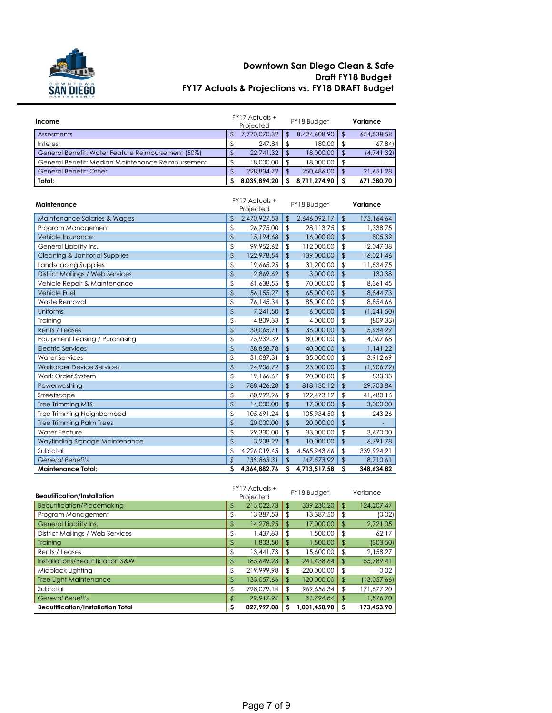

#### **Downtown San Diego Clean & Safe Draft FY18 Budget FY17 Actuals & Projections vs. FY18 DRAFT Budget**

| Income                                             |               | FY17 Actuals +<br>Projected | FY18 Budget   |              |                | Variance   |
|----------------------------------------------------|---------------|-----------------------------|---------------|--------------|----------------|------------|
| Assesments                                         | \$            | 7,770,070.32                | $\sqrt{2}$    | 8,424,608.90 | \$             | 654,538.58 |
| Interest                                           | \$            | 247.84                      | $\sqrt{2}$    | 180.00       | \$             | (67.84)    |
| General Benefit: Water Feature Reimbursement (50%) | \$            | 22,741.32                   | $\sqrt{2}$    | 18,000.00    | \$             | (4,741.32) |
| General Benefit: Median Maintenance Reimbursement  | \$            | 18,000.00                   | $\sqrt{2}$    | 18,000.00    | \$             |            |
| General Benefit: Other                             | $\sqrt{2}$    | 228,834.72                  | $\mathbf{s}$  | 250,486.00   | $\mathfrak{D}$ | 21,651.28  |
| Total:                                             | Ś             | 8,039,894.20                | S             | 8,711,274.90 | S              | 671,380.70 |
| Maintenance                                        |               | FY17 Actuals +<br>Projected |               | FY18 Budget  |                | Variance   |
| Maintenance Salaries & Wages                       | \$            | 2,470,927.53                | $\sqrt[6]{2}$ | 2,646,092.17 | \$             | 175,164.64 |
| Program Management                                 | \$            | 26,775.00                   | $\sqrt[6]{2}$ | 28,113.75    | \$             | 1,338.75   |
| Vehicle Insurance                                  | \$            | 15,194.68                   | $\sqrt{2}$    | 16,000.00    | \$             | 805.32     |
| General Liability Ins.                             | \$            | 99,952.62                   | $\sqrt{2}$    | 112,000.00   | \$             | 12,047.38  |
| Cleaning & Janitorial Supplies                     | $\frac{1}{2}$ | 122,978.54                  | $\sqrt{2}$    | 139,000.00   | \$             | 16,021.46  |
| Landscaping Supplies                               | \$            | 19.665.25                   | $\sqrt{2}$    | 31,200.00    | \$             | 11,534.75  |
| <b>District Mailings / Web Services</b>            | \$            | 2,869.62                    | $\sqrt{2}$    | 3,000.00     | \$             | 130.38     |
| Vehicle Repair & Maintenance                       | \$            | 61,638.55                   | \$            | 70,000.00    | \$             | 8,361.45   |
| <b>Vehicle Fuel</b>                                | \$            | 56,155.27                   | $\frac{1}{2}$ | 65,000.00    | \$             | 8,844.73   |
| Waste Removal                                      | \$            | 76,145.34                   | \$            | 85,000.00    | \$             | 8,854.66   |
| Uniforms                                           | \$            | 7,241.50                    | $\frac{1}{2}$ | 6,000.00     | \$             | (1,241.50) |
| Training                                           | \$            | 4,809.33                    | \$            | 4,000.00     | \$             | (809.33)   |
| Rents / Leases                                     | \$            | 30,065.71                   | $\sqrt{2}$    | 36,000.00    | \$             | 5,934.29   |
| Equipment Leasing / Purchasing                     | \$            | 75,932.32                   | $\sqrt{2}$    | 80,000.00    | \$             | 4,067.68   |
| <b>Electric Services</b>                           | \$            | 38,858.78                   | $\frac{1}{2}$ | 40,000.00    | \$             | 1,141.22   |
| <b>Water Services</b>                              | \$            | 31,087.31                   | $\sqrt{2}$    | 35,000.00    | \$             | 3,912.69   |
| <b>Workorder Device Services</b>                   | \$            | 24,906.72                   | $\sqrt{2}$    | 23,000.00    | \$             | (1,906.72) |
| Work Order System                                  | \$            | 19,166.67                   | \$            | 20,000.00    | \$             | 833.33     |
| Powerwashing                                       | $\sqrt{2}$    | 788,426.28                  | $\sqrt{2}$    | 818,130.12   | $\overline{3}$ | 29,703.84  |
| Streetscape                                        | \$            | 80,992.96                   | \$            | 122,473.12   | \$             | 41,480.16  |
| <b>Tree Trimming MTS</b>                           | \$            | 14,000.00                   | $\sqrt{2}$    | 17,000.00    | \$             | 3,000,00   |
| Tree Trimming Neighborhood                         | \$            | 105,691.24                  | \$            | 105,934.50   | \$             | 243.26     |
| <b>Tree Trimming Palm Trees</b>                    | $\sqrt{2}$    | 20,000.00                   | $\sqrt{2}$    | 20,000.00    | \$             |            |
| <b>Water Feature</b>                               | \$            | 29,330.00                   | $\sqrt{2}$    | 33,000.00    | \$             | 3,670.00   |
| Wayfinding Signage Maintenance                     | \$            | 3.208.22                    | $\sqrt{2}$    | 10,000.00    | $\overline{3}$ | 6,791.78   |
| Subtotal                                           | \$            | 4,226,019.45                | $\sqrt{2}$    | 4,565,943.66 | \$             | 339,924.21 |
| <b>General Benefits</b>                            | \$            | 138,863.31                  | $\sqrt{2}$    | 147,573.92   | $\mathfrak{D}$ | 8,710.61   |
| Maintenance Total:                                 | S             | 4,364,882.76                | S.            | 4,713,517.58 | S              | 348,634.82 |

| <b>Beautification/Installation</b>       |    | $FY17$ Actuals +<br>Projected |                | FY18 Budget  |    | Variance    |  |
|------------------------------------------|----|-------------------------------|----------------|--------------|----|-------------|--|
| Beautification/Placemaking               | \$ | 215.022.73                    | $\mathfrak{D}$ | 339,230.20   | \$ | 124.207.47  |  |
| Program Management                       | \$ | 13,387.53                     | S              | 13,387.50    | \$ | (0.02)      |  |
| General Liability Ins.                   | \$ | 14.278.95                     | S              | 17,000.00    | \$ | 2,721.05    |  |
| District Mailings / Web Services         | \$ | 1.437.83                      | \$             | 1,500.00     | \$ | 62.17       |  |
| Training                                 | \$ | 1.803.50                      | \$             | 1,500.00     | \$ | (303.50)    |  |
| Rents / Leases                           | \$ | 13,441.73                     | £.             | 15,600.00    | \$ | 2,158.27    |  |
| Installations/Beautification S&W         | \$ | 185,649.23                    | \$             | 241,438.64   | \$ | 55,789.41   |  |
| Midblock Lighting                        | \$ | 219.999.98                    | \$             | 220,000,00   | \$ | 0.02        |  |
| <b>Tree Light Maintenance</b>            | \$ | 133,057.66                    | \$             | 120,000.00   | \$ | (13,057.66) |  |
| Subtotal                                 | \$ | 798.079.14                    | \$             | 969.656.34   | \$ | 171,577.20  |  |
| <b>General Benefits</b>                  |    | 29.917.94                     | S              | 31,794.64    | \$ | 1,876.70    |  |
| <b>Beautification/Installation Total</b> | s  | 827.997.08                    |                | 1,001,450.98 | S  | 173.453.90  |  |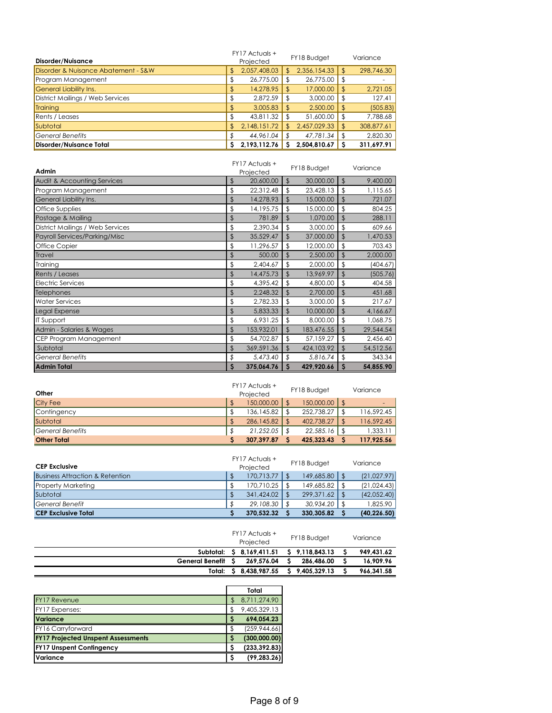|                                     |           | FY17 Actuals + |      | FY18 Budget  |               | Variance   |  |
|-------------------------------------|-----------|----------------|------|--------------|---------------|------------|--|
| Disorder/Nuisance                   | Projected |                |      |              |               |            |  |
| Disorder & Nuisance Abatement - S&W | \$        | 2,057,408.03   |      | 2,356,154.33 | $\sqrt{2}$    | 298,746.30 |  |
| Program Management                  | J         | 26,775.00      |      | 26,775.00    |               |            |  |
| <b>General Liability Ins.</b>       | \$        | 14,278.95      |      | 17,000.00    | $\frac{1}{3}$ | 2,721.05   |  |
| District Mailings / Web Services    | .D        | 2,872.59       | - 55 | 3,000.00     | \$            | 127.41     |  |
| <b>Training</b>                     | \$        | 3,005.83       |      | 2,500.00     | \$            | (505.83)   |  |
| Rents / Leases                      |           | 43,811.32      |      | 51,600.00    | S             | 7,788.68   |  |
| Subtotal                            | \$        | 2,148,151.72   |      | 2,457,029.33 | \$            | 308,877.61 |  |
| <b>General Benefits</b>             |           | 44,961.04      |      | 47,781.34    |               | 2.820.30   |  |
| Disorder/Nuisance Total             | S         | 2.193.112.76   |      | 2,504,810.67 |               | 311.697.91 |  |

| Admin                                  | $FY17$ Actuals $+$<br>Projected |                | FY18 Budget |               | Variance  |
|----------------------------------------|---------------------------------|----------------|-------------|---------------|-----------|
| <b>Audit &amp; Accounting Services</b> | \$<br>20,600.00                 | $\sqrt[6]{2}$  | 30,000.00   | $\sqrt[6]{2}$ | 9,400.00  |
| Program Management                     | \$<br>22,312.48                 | \$             | 23,428.13   | \$            | 1,115.65  |
| General Liability Ins.                 | \$<br>14,278.93                 | \$             | 15,000.00   | \$            | 721.07    |
| Office Supplies                        | \$<br>14,195.75                 | \$             | 15,000.00   | \$            | 804.25    |
| Postage & Mailing                      | \$<br>781.89                    | $\mathfrak{L}$ | 1,070.00    | \$            | 288.11    |
| District Mailings / Web Services       | \$<br>2,390.34                  | \$             | 3,000.00    | \$            | 609.66    |
| Payroll Services/Parking/Misc          | \$<br>35,529.47                 | \$             | 37,000.00   | \$            | 1,470.53  |
| <b>Office Copier</b>                   | \$<br>11,296.57                 | \$             | 12,000.00   | \$            | 703.43    |
| <b>Travel</b>                          | \$<br>500.00                    | \$             | 2,500.00    | \$            | 2,000.00  |
| Training                               | \$<br>2,404.67                  | \$             | 2,000.00    | \$            | (404.67)  |
| Rents / Leases                         | \$<br>14,475.73                 | \$             | 13,969.97   | $\sqrt[6]{2}$ | (505.76)  |
| <b>Electric Services</b>               | \$<br>4,395.42                  | \$             | 4,800.00    | \$            | 404.58    |
| Telephones                             | \$<br>2,248.32                  | \$             | 2,700.00    | \$            | 451.68    |
| <b>Water Services</b>                  | \$<br>2,782.33                  | \$             | 3,000.00    | \$            | 217.67    |
| Legal Expense                          | \$<br>5,833.33                  | \$             | 10,000.00   | \$            | 4,166.67  |
| <b>IT Support</b>                      | \$<br>6,931.25                  | \$             | 8,000.00    | \$            | 1,068.75  |
| Admin - Salaries & Wages               | \$<br>153,932.01                | \$             | 183,476.55  | \$            | 29,544.54 |
| CEP Program Management                 | \$<br>54,702.87                 | \$             | 57,159.27   | \$            | 2,456.40  |
| Subtotal                               | \$<br>369,591.36                | \$             | 424,103.92  | \$            | 54,512.56 |
| <b>General Benefits</b>                | \$<br>5,473.40                  | \$             | 5,816.74    | \$            | 343.34    |
| <b>Admin Total</b>                     | \$<br>375,064.76                | \$             | 429,920.66  | S             | 54,855.90 |

| Other              | FY17 Actuals +<br>Projected | FY18 Budget | Variance         |
|--------------------|-----------------------------|-------------|------------------|
| <b>City Fee</b>    | 150,000,00                  | 150,000,00  | -                |
| Contingency        | 136,145.82                  | 252,738.27  | 116,592.45       |
| Subtotal           | 286,145.82                  | 402,738.27  | \$<br>116,592.45 |
| lGeneral Benefits  | 21,252.05                   | 22,585.16   | 1,333.11         |
| <b>Other Total</b> | 307.397.87                  | 425.323.43  | 117,925.56       |

| <b>CEP Exclusive</b>            | FY17 Actuals +<br>Projected | FY18 Budget | Variance     |
|---------------------------------|-----------------------------|-------------|--------------|
| Business Attraction & Retention | 170.713.77                  | 149,685.80  | (21,027.97)  |
| Property Marketing              | 170.710.25                  | 149,685.82  | (21,024,43)  |
| Subtotal                        | 341,424.02                  | 299,371.62  | (42,052,40)  |
| <b>General Benefit</b>          | 29,108.30                   | 30,934.20   | 1.825.90     |
| <b>CEP Exclusive Total</b>      | 370.532.32                  | 330,305.82  | (40, 226.50) |

|                   | FY17 Actuals +<br>Projected |    | FY18 Budget    | Variance   |
|-------------------|-----------------------------|----|----------------|------------|
|                   | Subtotal: \$ 8.169.411.51   |    | \$9.118.843.13 | 949,431.62 |
| General Benefit S | 269.576.04                  |    | 286.486.00     | 16.909.96  |
|                   | Total: \$ 8.438.987.55      | S. | 9.405.329.13   | 966,341.58 |
|                   |                             |    |                |            |

|                                           |     | Total         |
|-------------------------------------------|-----|---------------|
| FY17 Revenue                              |     | 8,711,274.90  |
| FY17 Expenses:                            | \$. | 9,405,329.13  |
| <b>Variance</b>                           |     | 694.054.23    |
| FY16 Carryforward                         |     | (259, 944.66) |
| <b>FY17 Projected Unspent Assessments</b> |     | (300,000.00)  |
| <b>FY17 Unspent Contingency</b>           |     | (233, 392.83) |
| Variance                                  |     | (99, 283.26)  |